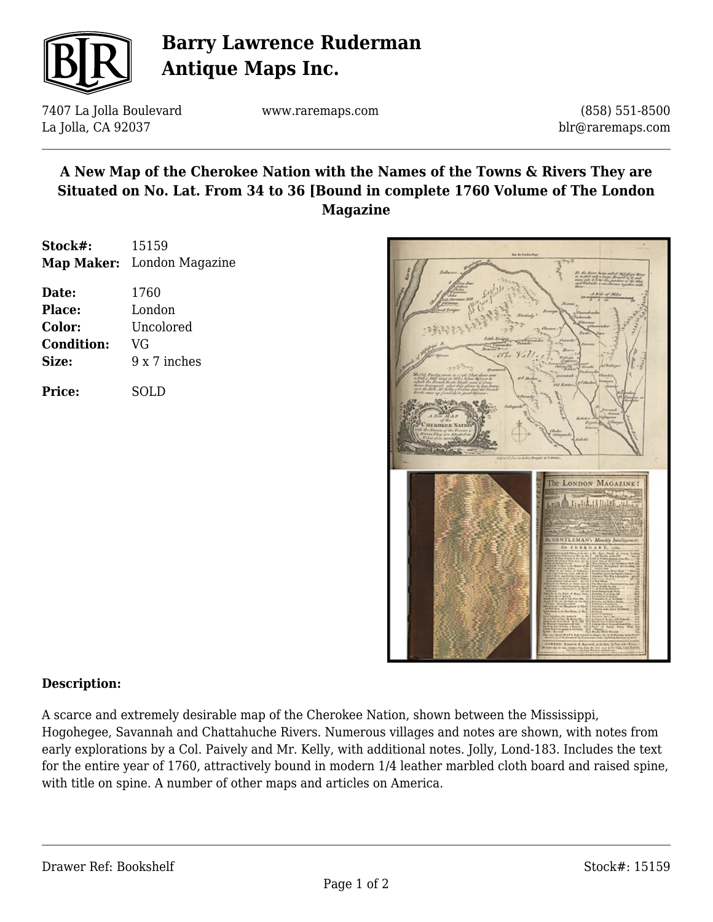

# **Barry Lawrence Ruderman Antique Maps Inc.**

7407 La Jolla Boulevard La Jolla, CA 92037

www.raremaps.com

(858) 551-8500 blr@raremaps.com

### **A New Map of the Cherokee Nation with the Names of the Towns & Rivers They are Situated on No. Lat. From 34 to 36 [Bound in complete 1760 Volume of The London Magazine**

| Stock#: | 15159                      |
|---------|----------------------------|
|         | Map Maker: London Magazine |
| Date:   | 1760                       |

| <b>Place:</b>     | London       |
|-------------------|--------------|
| Color:            | Uncolored    |
| <b>Condition:</b> | VG           |
| Size:             | 9 x 7 inches |
|                   |              |

**Price:** SOLD



#### **Description:**

A scarce and extremely desirable map of the Cherokee Nation, shown between the Mississippi, Hogohegee, Savannah and Chattahuche Rivers. Numerous villages and notes are shown, with notes from early explorations by a Col. Paively and Mr. Kelly, with additional notes. Jolly, Lond-183. Includes the text for the entire year of 1760, attractively bound in modern 1/4 leather marbled cloth board and raised spine, with title on spine. A number of other maps and articles on America.